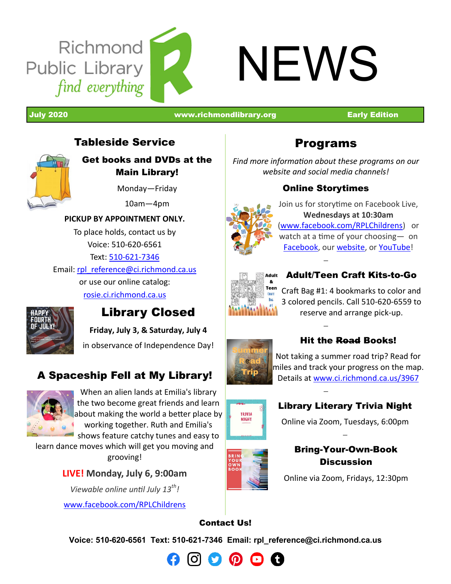

July 2020 [www.richmondlibrary.org](http://www.richmondlibrary.org) Early Edition

# Tableside Service



Get books and DVDs at the Main Library!

Monday—Friday

10am—4pm

#### **PICKUP BY APPOINTMENT ONLY.**

To place holds, contact us by Voice: 510-620-6561 Text: 510-621-[7346](tel:5106217346)

Email: [rpl\\_reference@ci.richmond.ca.us](mailto:rpl_reference@ci.richmond.ca.us)

or use our online catalog: [rosie.ci.richmond.ca.us](https://rosie.ci.richmond.ca.us/)



# Library Closed

**Friday, July 3, & Saturday, July 4**

in observance of Independence Day!

# A Spaceship Fell at My Library!



When an alien lands at Emilia's library the two become great friends and learn about making the world a better place by working together. Ruth and Emilia's shows feature catchy tunes and easy to

learn dance moves which will get you moving and grooving!

### **LIVE! Monday, July 6, 9:00am**

*Viewable online until July 13th!*

[www.facebook.com/RPLChildrens](http://www.facebook.com/RPLChildrens)



*Find more information about these programs on our website and social media channels!*

### Online Storytimes

—

—

—



Join us for storytime on Facebook Live, **Wednesdays at 10:30am** ([www.facebook.com/RPLChildrens\)](http://www.facebook.com/RPLChildrens)or watch at a time of your choosing— on [Facebook,](http://www.facebook.com/RPLChildrens/live) our [website,](http://www.ci.richmond.ca.us/1455/Story-Times) or [YouTube!](https://www.youtube.com/channel/UCAdV1fBW-f-vv-O79-raN_g)



# Adult/Teen Craft Kits-to-Go

Craft Bag #1: 4 bookmarks to color and 3 colored pencils. Call 510-620-6559 to reserve and arrange pick-up.



### Hit the Road Books!

Not taking a summer road trip? Read for miles and track your progress on the map. Details at [www.ci.richmond.ca.us/3967](http://www.ci.richmond.ca.us/3967)



### Library Literary Trivia Night

[Online via Zoom, Tuesdays, 6:00pm](https://us02web.zoom.us/meeting/register/tZYlceqprzIpG9KtkS7EwR1r2kVUPrKZAUst) —



#### Bring-Your-Own-Book **Discussion**

[Online via Zoom, Fridays, 12:30pm](https://us02web.zoom.us/meeting/register/tZIqceisrD8sGdfP3DCf9FEGjRsHj75XNS0e)

# Contact Us!

**Voice: 510-620-6561 Text: 510-621-7346 Email: [rpl\\_reference@ci.richmond.ca.us](mailto:rpl_reference@ci.richmond.ca.us)**